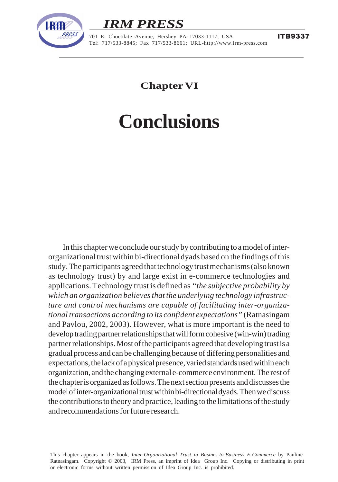

## *IRM PRESS*

Conclusions 149 - 701 E. Chocolate Avenue, Hershey PA 17033-1117, USA Tel: 717/533-8845; Fax 717/533-8661; URL-http://www.irm-press.com

**Chapter VI**

# **Conclusions**

In this chapter we conclude our study by contributing to a model of interorganizational trust within bi-directional dyads based on the findings of this study. The participants agreed that technology trust mechanisms (also known as technology trust) by and large exist in e-commerce technologies and applications. Technology trust is defined as *"the subjective probability by which an organization believes that the underlying technology infrastructure and control mechanisms are capable of facilitating inter-organizational transactions according to its confident expectations"* (Ratnasingam and Pavlou, 2002, 2003). However, what is more important is the need to develop trading partner relationships that will form cohesive (win-win) trading partner relationships. Most of the participants agreed that developing trust is a gradual process and can be challenging because of differing personalities and expectations, the lack of a physical presence, varied standards used within each organization, and the changing external e-commerce environment. The rest of the chapter is organized as follows. The next section presents and discusses the model of inter-organizational trust within bi-directional dyads. Then we discuss the contributions to theory and practice, leading to the limitations of the study and recommendations for future research.

This chapter appears in the book, *Inter-Organizational Trust in Busines-to-Business E-Commerce* by Pauline Ratnasingam. Copyright © 2003, IRM Press, an imprint of Idea Group Inc. Copying or distributing in print or electronic forms without written permission of Idea Group Inc. is prohibited.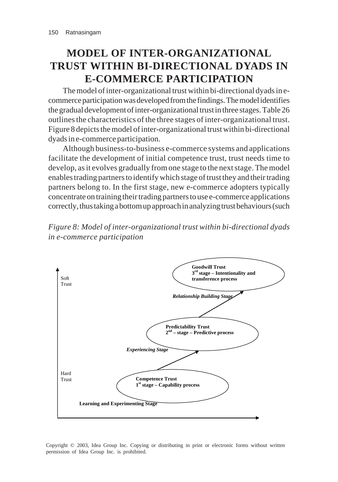## **MODEL OF INTER-ORGANIZATIONAL TRUST WITHIN BI-DIRECTIONAL DYADS IN E-COMMERCE PARTICIPATION**

The model of inter-organizational trust within bi-directional dyads in ecommerce participation was developed from the findings. The model identifies the gradual development of inter-organizational trust in three stages. Table 26 outlines the characteristics of the three stages of inter-organizational trust. Figure 8 depicts the model of inter-organizational trust within bi-directional dyads in e-commerce participation.

Although business-to-business e-commerce systems and applications facilitate the development of initial competence trust, trust needs time to develop, as it evolves gradually from one stage to the next stage. The model enables trading partners to identify which stage of trust they and their trading partners belong to. In the first stage, new e-commerce adopters typically concentrate on training their trading partners to use e-commerce applications correctly, thus taking a bottom up approach in analyzing trust behaviours (such





Copyright © 2003, Idea Group Inc. Copying or distributing in print or electronic forms without written permission of Idea Group Inc. is prohibited.